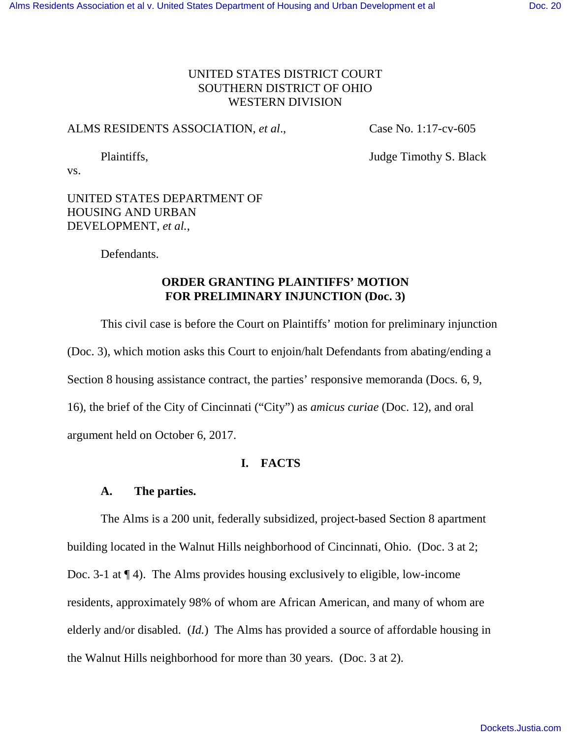# UNITED STATES DISTRICT COURT SOUTHERN DISTRICT OF OHIO WESTERN DIVISION

## ALMS RESIDENTS ASSOCIATION, *et al*., Case No. 1:17-cv-605

Plaintiffs, Judge Timothy S. Black

vs.

# UNITED STATES DEPARTMENT OF HOUSING AND URBAN DEVELOPMENT, *et al.*,

Defendants.

# **ORDER GRANTING PLAINTIFFS' MOTION FOR PRELIMINARY INJUNCTION (Doc. 3)**

This civil case is before the Court on Plaintiffs' motion for preliminary injunction (Doc. 3), which motion asks this Court to enjoin/halt Defendants from abating/ending a Section 8 housing assistance contract, the parties' responsive memoranda (Docs. 6, 9, 16), the brief of the City of Cincinnati ("City") as *amicus curiae* (Doc. 12), and oral argument held on October 6, 2017.

# **I. FACTS**

# **A. The parties.**

 The Alms is a 200 unit, federally subsidized, project-based Section 8 apartment building located in the Walnut Hills neighborhood of Cincinnati, Ohio. (Doc. 3 at 2; Doc. 3-1 at ¶ 4). The Alms provides housing exclusively to eligible, low-income residents, approximately 98% of whom are African American, and many of whom are elderly and/or disabled. (*Id.*) The Alms has provided a source of affordable housing in the Walnut Hills neighborhood for more than 30 years. (Doc. 3 at 2).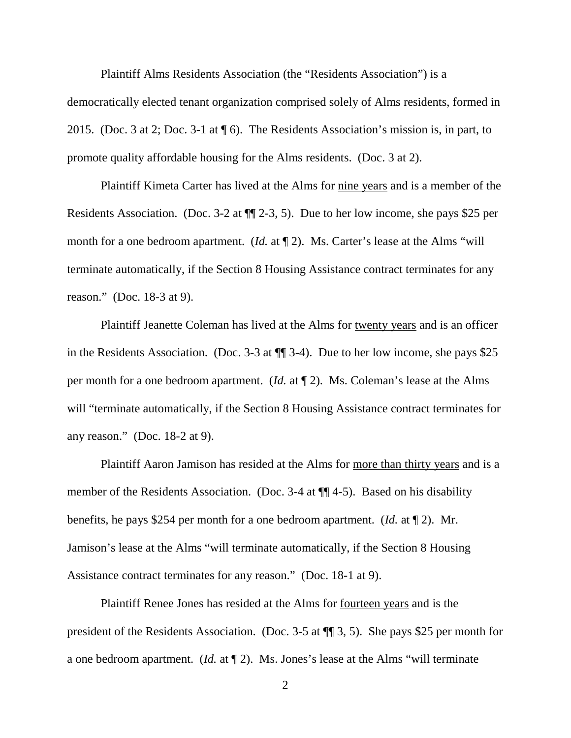Plaintiff Alms Residents Association (the "Residents Association") is a democratically elected tenant organization comprised solely of Alms residents, formed in 2015. (Doc. 3 at 2; Doc. 3-1 at ¶ 6). The Residents Association's mission is, in part, to promote quality affordable housing for the Alms residents. (Doc. 3 at 2).

Plaintiff Kimeta Carter has lived at the Alms for nine years and is a member of the Residents Association. (Doc. 3-2 at ¶¶ 2-3, 5). Due to her low income, she pays \$25 per month for a one bedroom apartment. (*Id.* at  $\P$  2). Ms. Carter's lease at the Alms "will terminate automatically, if the Section 8 Housing Assistance contract terminates for any reason." (Doc. 18-3 at 9).

Plaintiff Jeanette Coleman has lived at the Alms for twenty years and is an officer in the Residents Association. (Doc. 3-3 at ¶¶ 3-4). Due to her low income, she pays \$25 per month for a one bedroom apartment. (*Id.* at ¶ 2). Ms. Coleman's lease at the Alms will "terminate automatically, if the Section 8 Housing Assistance contract terminates for any reason." (Doc. 18-2 at 9).

Plaintiff Aaron Jamison has resided at the Alms for more than thirty years and is a member of the Residents Association. (Doc. 3-4 at ¶¶ 4-5). Based on his disability benefits, he pays \$254 per month for a one bedroom apartment. (*Id.* at ¶ 2). Mr. Jamison's lease at the Alms "will terminate automatically, if the Section 8 Housing Assistance contract terminates for any reason." (Doc. 18-1 at 9).

Plaintiff Renee Jones has resided at the Alms for fourteen years and is the president of the Residents Association. (Doc. 3-5 at ¶¶ 3, 5). She pays \$25 per month for a one bedroom apartment. (*Id.* at ¶ 2). Ms. Jones's lease at the Alms "will terminate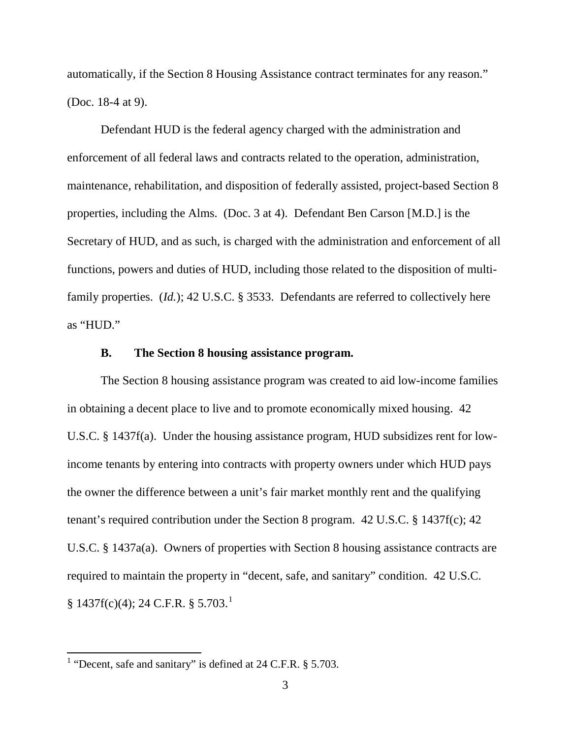automatically, if the Section 8 Housing Assistance contract terminates for any reason." (Doc. 18-4 at 9).

Defendant HUD is the federal agency charged with the administration and enforcement of all federal laws and contracts related to the operation, administration, maintenance, rehabilitation, and disposition of federally assisted, project-based Section 8 properties, including the Alms. (Doc. 3 at 4). Defendant Ben Carson [M.D.] is the Secretary of HUD, and as such, is charged with the administration and enforcement of all functions, powers and duties of HUD, including those related to the disposition of multifamily properties. (*Id.*); 42 U.S.C. § 3533. Defendants are referred to collectively here as "HUD."

### **B. The Section 8 housing assistance program.**

 The Section 8 housing assistance program was created to aid low-income families in obtaining a decent place to live and to promote economically mixed housing. 42 U.S.C. § 1437f(a). Under the housing assistance program, HUD subsidizes rent for lowincome tenants by entering into contracts with property owners under which HUD pays the owner the difference between a unit's fair market monthly rent and the qualifying tenant's required contribution under the Section 8 program. 42 U.S.C. § 1437f(c); 42 U.S.C. § 1437a(a). Owners of properties with Section 8 housing assistance contracts are required to maintain the property in "decent, safe, and sanitary" condition. 42 U.S.C.  $§ 1437f(c)(4); 24 C.F.R. § 5.703.<sup>1</sup>$ 

 $\overline{a}$ 

<sup>&</sup>lt;sup>1</sup> "Decent, safe and sanitary" is defined at  $24$  C.F.R.  $\S$  5.703.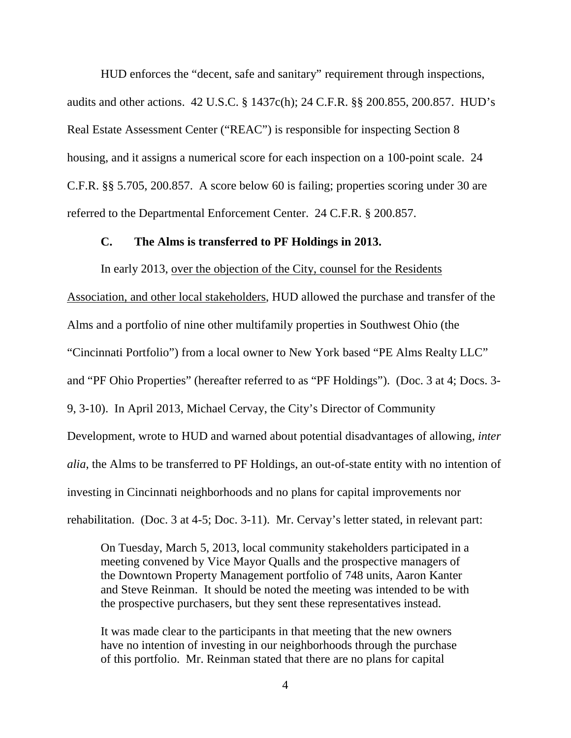HUD enforces the "decent, safe and sanitary" requirement through inspections, audits and other actions. 42 U.S.C. § 1437c(h); 24 C.F.R. §§ 200.855, 200.857. HUD's Real Estate Assessment Center ("REAC") is responsible for inspecting Section 8 housing, and it assigns a numerical score for each inspection on a 100-point scale. 24 C.F.R. §§ 5.705, 200.857. A score below 60 is failing; properties scoring under 30 are referred to the Departmental Enforcement Center. 24 C.F.R. § 200.857.

### **C. The Alms is transferred to PF Holdings in 2013.**

In early 2013, over the objection of the City, counsel for the Residents

Association, and other local stakeholders, HUD allowed the purchase and transfer of the Alms and a portfolio of nine other multifamily properties in Southwest Ohio (the "Cincinnati Portfolio") from a local owner to New York based "PE Alms Realty LLC" and "PF Ohio Properties" (hereafter referred to as "PF Holdings"). (Doc. 3 at 4; Docs. 3- 9, 3-10). In April 2013, Michael Cervay, the City's Director of Community Development, wrote to HUD and warned about potential disadvantages of allowing, *inter alia*, the Alms to be transferred to PF Holdings, an out-of-state entity with no intention of investing in Cincinnati neighborhoods and no plans for capital improvements nor rehabilitation. (Doc. 3 at 4-5; Doc. 3-11). Mr. Cervay's letter stated, in relevant part:

On Tuesday, March 5, 2013, local community stakeholders participated in a meeting convened by Vice Mayor Qualls and the prospective managers of the Downtown Property Management portfolio of 748 units, Aaron Kanter and Steve Reinman. It should be noted the meeting was intended to be with the prospective purchasers, but they sent these representatives instead.

It was made clear to the participants in that meeting that the new owners have no intention of investing in our neighborhoods through the purchase of this portfolio. Mr. Reinman stated that there are no plans for capital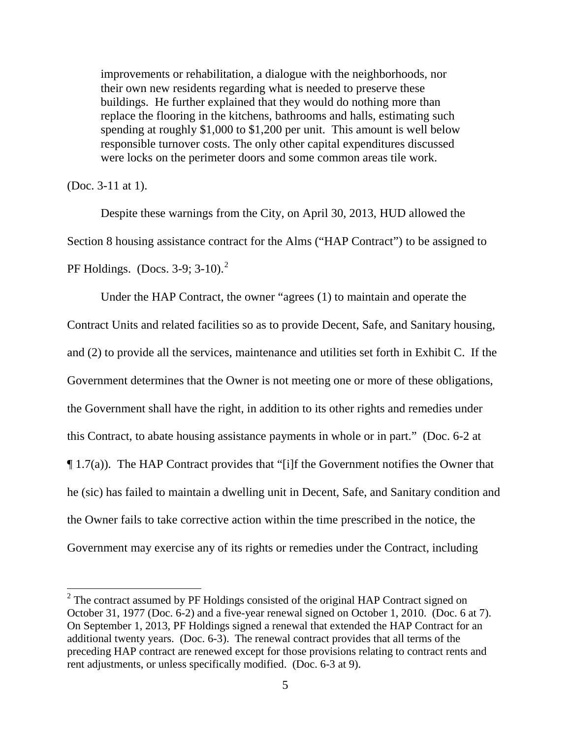improvements or rehabilitation, a dialogue with the neighborhoods, nor their own new residents regarding what is needed to preserve these buildings. He further explained that they would do nothing more than replace the flooring in the kitchens, bathrooms and halls, estimating such spending at roughly \$1,000 to \$1,200 per unit. This amount is well below responsible turnover costs. The only other capital expenditures discussed were locks on the perimeter doors and some common areas tile work.

(Doc. 3-11 at 1).

l

 Despite these warnings from the City, on April 30, 2013, HUD allowed the Section 8 housing assistance contract for the Alms ("HAP Contract") to be assigned to PF Holdings. (Docs. 3-9; 3-10).<sup>2</sup>

 Under the HAP Contract, the owner "agrees (1) to maintain and operate the Contract Units and related facilities so as to provide Decent, Safe, and Sanitary housing, and (2) to provide all the services, maintenance and utilities set forth in Exhibit C. If the Government determines that the Owner is not meeting one or more of these obligations, the Government shall have the right, in addition to its other rights and remedies under this Contract, to abate housing assistance payments in whole or in part." (Doc. 6-2 at ¶ 1.7(a)). The HAP Contract provides that "[i]f the Government notifies the Owner that he (sic) has failed to maintain a dwelling unit in Decent, Safe, and Sanitary condition and the Owner fails to take corrective action within the time prescribed in the notice, the Government may exercise any of its rights or remedies under the Contract, including

 $2^2$  The contract assumed by PF Holdings consisted of the original HAP Contract signed on October 31, 1977 (Doc. 6-2) and a five-year renewal signed on October 1, 2010. (Doc. 6 at 7). On September 1, 2013, PF Holdings signed a renewal that extended the HAP Contract for an additional twenty years. (Doc. 6-3). The renewal contract provides that all terms of the preceding HAP contract are renewed except for those provisions relating to contract rents and rent adjustments, or unless specifically modified. (Doc. 6-3 at 9).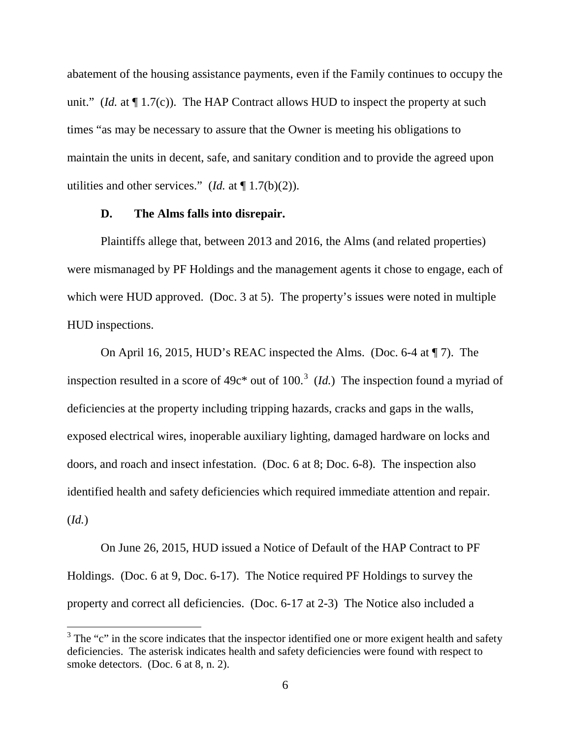abatement of the housing assistance payments, even if the Family continues to occupy the unit." (*Id.* at  $\P$  1.7(c)). The HAP Contract allows HUD to inspect the property at such times "as may be necessary to assure that the Owner is meeting his obligations to maintain the units in decent, safe, and sanitary condition and to provide the agreed upon utilities and other services." (*Id.* at  $\P$  1.7(b)(2)).

### **D. The Alms falls into disrepair.**

 $\overline{a}$ 

 Plaintiffs allege that, between 2013 and 2016, the Alms (and related properties) were mismanaged by PF Holdings and the management agents it chose to engage, each of which were HUD approved. (Doc. 3 at 5). The property's issues were noted in multiple HUD inspections.

 On April 16, 2015, HUD's REAC inspected the Alms. (Doc. 6-4 at ¶ 7). The inspection resulted in a score of  $49c^*$  out of  $100^3$  (*Id.*) The inspection found a myriad of deficiencies at the property including tripping hazards, cracks and gaps in the walls, exposed electrical wires, inoperable auxiliary lighting, damaged hardware on locks and doors, and roach and insect infestation. (Doc. 6 at 8; Doc. 6-8). The inspection also identified health and safety deficiencies which required immediate attention and repair. (*Id.*)

 On June 26, 2015, HUD issued a Notice of Default of the HAP Contract to PF Holdings. (Doc. 6 at 9, Doc. 6-17). The Notice required PF Holdings to survey the property and correct all deficiencies. (Doc. 6-17 at 2-3) The Notice also included a

 $3$  The "c" in the score indicates that the inspector identified one or more exigent health and safety deficiencies. The asterisk indicates health and safety deficiencies were found with respect to smoke detectors. (Doc. 6 at 8, n. 2).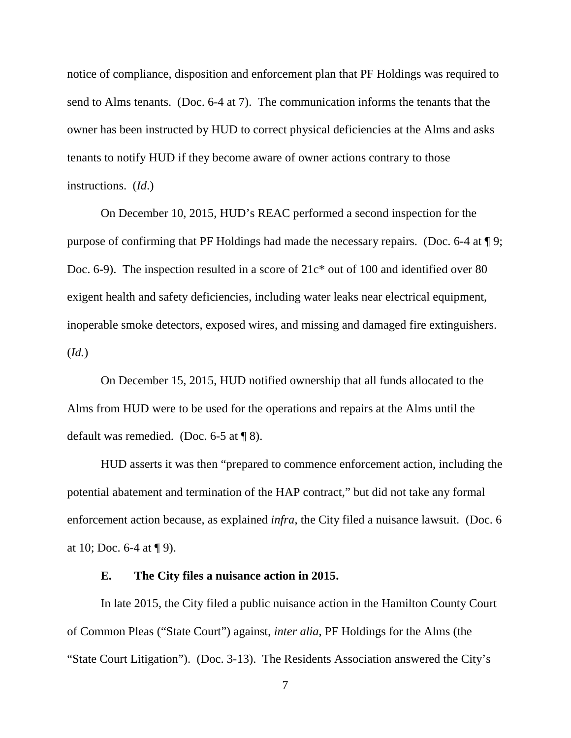notice of compliance, disposition and enforcement plan that PF Holdings was required to send to Alms tenants. (Doc. 6-4 at 7). The communication informs the tenants that the owner has been instructed by HUD to correct physical deficiencies at the Alms and asks tenants to notify HUD if they become aware of owner actions contrary to those instructions. (*Id*.)

 On December 10, 2015, HUD's REAC performed a second inspection for the purpose of confirming that PF Holdings had made the necessary repairs. (Doc. 6-4 at ¶ 9; Doc. 6-9). The inspection resulted in a score of  $21c^*$  out of 100 and identified over 80 exigent health and safety deficiencies, including water leaks near electrical equipment, inoperable smoke detectors, exposed wires, and missing and damaged fire extinguishers. (*Id.*)

 On December 15, 2015, HUD notified ownership that all funds allocated to the Alms from HUD were to be used for the operations and repairs at the Alms until the default was remedied. (Doc. 6-5 at ¶ 8).

 HUD asserts it was then "prepared to commence enforcement action, including the potential abatement and termination of the HAP contract," but did not take any formal enforcement action because, as explained *infra*, the City filed a nuisance lawsuit. (Doc. 6 at 10; Doc.  $6-4$  at  $\P$  9).

# **E. The City files a nuisance action in 2015.**

 In late 2015, the City filed a public nuisance action in the Hamilton County Court of Common Pleas ("State Court") against, *inter alia*, PF Holdings for the Alms (the "State Court Litigation"). (Doc. 3-13). The Residents Association answered the City's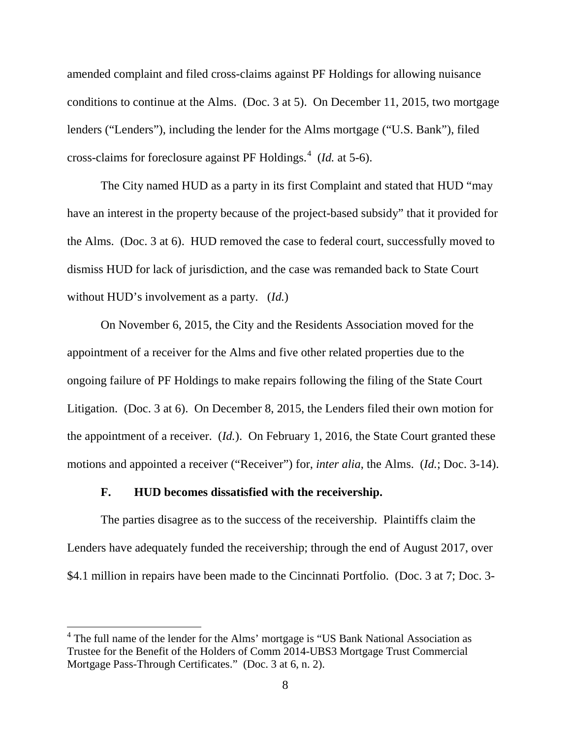amended complaint and filed cross-claims against PF Holdings for allowing nuisance conditions to continue at the Alms. (Doc. 3 at 5). On December 11, 2015, two mortgage lenders ("Lenders"), including the lender for the Alms mortgage ("U.S. Bank"), filed cross-claims for foreclosure against PF Holdings.<sup>4</sup> (*Id.* at 5-6).

 The City named HUD as a party in its first Complaint and stated that HUD "may have an interest in the property because of the project-based subsidy" that it provided for the Alms. (Doc. 3 at 6). HUD removed the case to federal court, successfully moved to dismiss HUD for lack of jurisdiction, and the case was remanded back to State Court without HUD's involvement as a party. (*Id.*)

 On November 6, 2015, the City and the Residents Association moved for the appointment of a receiver for the Alms and five other related properties due to the ongoing failure of PF Holdings to make repairs following the filing of the State Court Litigation. (Doc. 3 at 6). On December 8, 2015, the Lenders filed their own motion for the appointment of a receiver. (*Id.*). On February 1, 2016, the State Court granted these motions and appointed a receiver ("Receiver") for, *inter alia*, the Alms. (*Id.*; Doc. 3-14).

## **F. HUD becomes dissatisfied with the receivership.**

 $\overline{a}$ 

The parties disagree as to the success of the receivership. Plaintiffs claim the Lenders have adequately funded the receivership; through the end of August 2017, over \$4.1 million in repairs have been made to the Cincinnati Portfolio. (Doc. 3 at 7; Doc. 3-

<sup>&</sup>lt;sup>4</sup> The full name of the lender for the Alms' mortgage is "US Bank National Association as Trustee for the Benefit of the Holders of Comm 2014-UBS3 Mortgage Trust Commercial Mortgage Pass-Through Certificates." (Doc. 3 at 6, n. 2).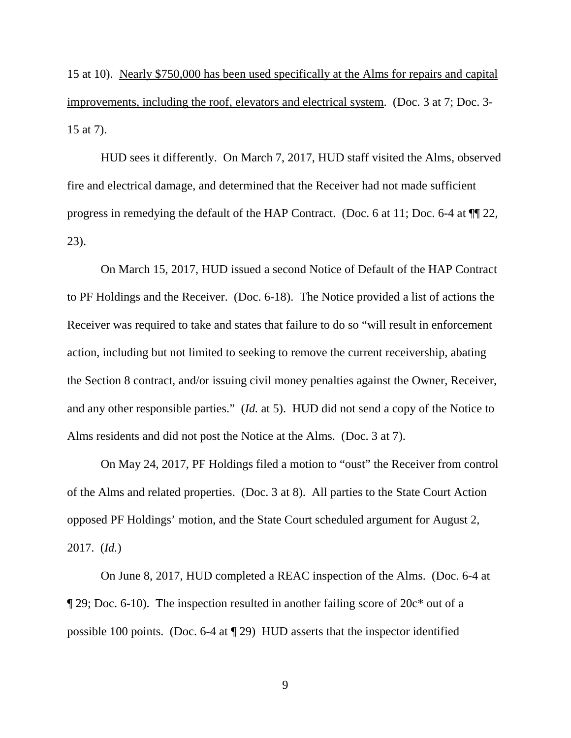15 at 10). Nearly \$750,000 has been used specifically at the Alms for repairs and capital improvements, including the roof, elevators and electrical system. (Doc. 3 at 7; Doc. 3- 15 at 7).

 HUD sees it differently. On March 7, 2017, HUD staff visited the Alms, observed fire and electrical damage, and determined that the Receiver had not made sufficient progress in remedying the default of the HAP Contract. (Doc. 6 at 11; Doc. 6-4 at ¶¶ 22, 23).

 On March 15, 2017, HUD issued a second Notice of Default of the HAP Contract to PF Holdings and the Receiver. (Doc. 6-18). The Notice provided a list of actions the Receiver was required to take and states that failure to do so "will result in enforcement action, including but not limited to seeking to remove the current receivership, abating the Section 8 contract, and/or issuing civil money penalties against the Owner, Receiver, and any other responsible parties." (*Id.* at 5). HUD did not send a copy of the Notice to Alms residents and did not post the Notice at the Alms. (Doc. 3 at 7).

 On May 24, 2017, PF Holdings filed a motion to "oust" the Receiver from control of the Alms and related properties. (Doc. 3 at 8). All parties to the State Court Action opposed PF Holdings' motion, and the State Court scheduled argument for August 2, 2017. (*Id.*)

On June 8, 2017, HUD completed a REAC inspection of the Alms. (Doc. 6-4 at ¶ 29; Doc. 6-10). The inspection resulted in another failing score of 20c\* out of a possible 100 points. (Doc. 6-4 at ¶ 29) HUD asserts that the inspector identified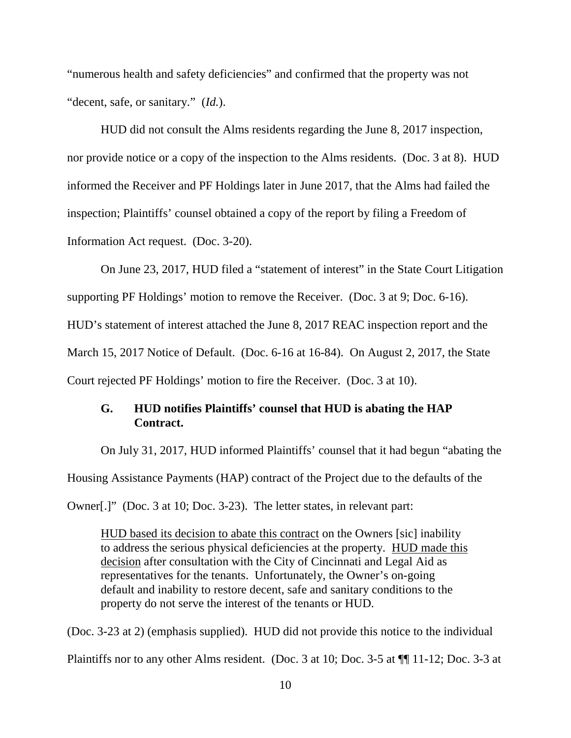"numerous health and safety deficiencies" and confirmed that the property was not "decent, safe, or sanitary." (*Id.*).

 HUD did not consult the Alms residents regarding the June 8, 2017 inspection, nor provide notice or a copy of the inspection to the Alms residents. (Doc. 3 at 8). HUD informed the Receiver and PF Holdings later in June 2017, that the Alms had failed the inspection; Plaintiffs' counsel obtained a copy of the report by filing a Freedom of Information Act request. (Doc. 3-20).

 On June 23, 2017, HUD filed a "statement of interest" in the State Court Litigation supporting PF Holdings' motion to remove the Receiver. (Doc. 3 at 9; Doc. 6-16). HUD's statement of interest attached the June 8, 2017 REAC inspection report and the March 15, 2017 Notice of Default. (Doc. 6-16 at 16-84). On August 2, 2017, the State Court rejected PF Holdings' motion to fire the Receiver. (Doc. 3 at 10).

# **G. HUD notifies Plaintiffs' counsel that HUD is abating the HAP Contract.**

 On July 31, 2017, HUD informed Plaintiffs' counsel that it had begun "abating the Housing Assistance Payments (HAP) contract of the Project due to the defaults of the Owner[.]" (Doc. 3 at 10; Doc. 3-23). The letter states, in relevant part:

HUD based its decision to abate this contract on the Owners [sic] inability to address the serious physical deficiencies at the property. HUD made this decision after consultation with the City of Cincinnati and Legal Aid as representatives for the tenants. Unfortunately, the Owner's on-going default and inability to restore decent, safe and sanitary conditions to the property do not serve the interest of the tenants or HUD.

(Doc. 3-23 at 2) (emphasis supplied). HUD did not provide this notice to the individual Plaintiffs nor to any other Alms resident. (Doc. 3 at 10; Doc. 3-5 at ¶¶ 11-12; Doc. 3-3 at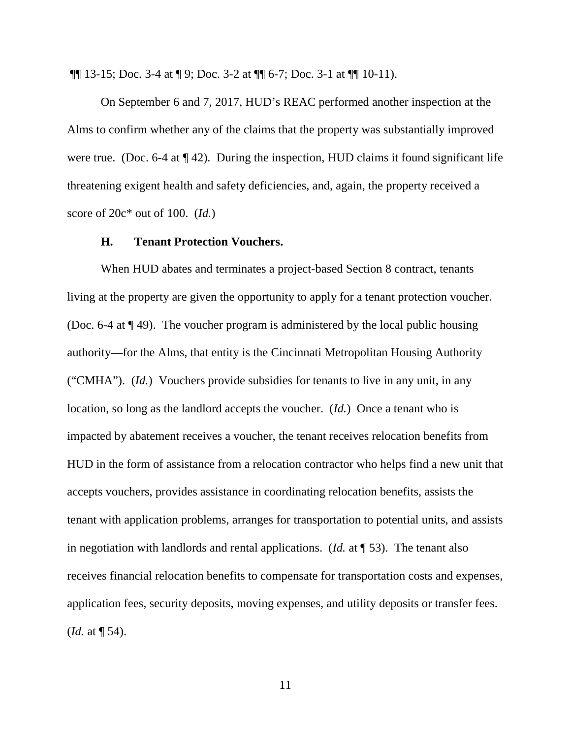¶¶ 13-15; Doc. 3-4 at ¶ 9; Doc. 3-2 at ¶¶ 6-7; Doc. 3-1 at ¶¶ 10-11).

 On September 6 and 7, 2017, HUD's REAC performed another inspection at the Alms to confirm whether any of the claims that the property was substantially improved were true. (Doc. 6-4 at  $\P$  42). During the inspection, HUD claims it found significant life threatening exigent health and safety deficiencies, and, again, the property received a score of 20c\* out of 100. (*Id.*)

## **H. Tenant Protection Vouchers.**

 When HUD abates and terminates a project-based Section 8 contract, tenants living at the property are given the opportunity to apply for a tenant protection voucher. (Doc. 6-4 at ¶ 49). The voucher program is administered by the local public housing authority—for the Alms, that entity is the Cincinnati Metropolitan Housing Authority ("CMHA"). (*Id.*) Vouchers provide subsidies for tenants to live in any unit, in any location, so long as the landlord accepts the voucher. (*Id.*) Once a tenant who is impacted by abatement receives a voucher, the tenant receives relocation benefits from HUD in the form of assistance from a relocation contractor who helps find a new unit that accepts vouchers, provides assistance in coordinating relocation benefits, assists the tenant with application problems, arranges for transportation to potential units, and assists in negotiation with landlords and rental applications. (*Id.* at ¶ 53). The tenant also receives financial relocation benefits to compensate for transportation costs and expenses, application fees, security deposits, moving expenses, and utility deposits or transfer fees. (*Id.* at ¶ 54).

11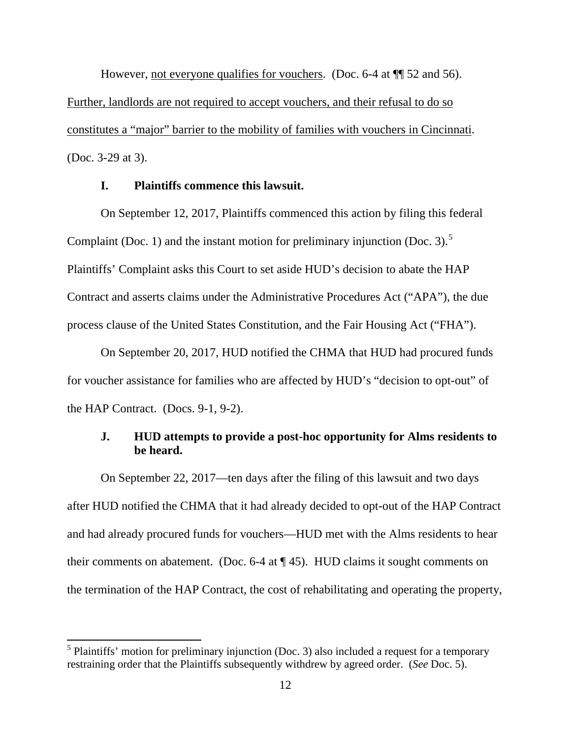However, not everyone qualifies for vouchers. (Doc. 6-4 at  $\P$  52 and 56). Further, landlords are not required to accept vouchers, and their refusal to do so constitutes a "major" barrier to the mobility of families with vouchers in Cincinnati. (Doc. 3-29 at 3).

# **I. Plaintiffs commence this lawsuit.**

On September 12, 2017, Plaintiffs commenced this action by filing this federal Complaint (Doc. 1) and the instant motion for preliminary injunction (Doc. 3).<sup>5</sup> Plaintiffs' Complaint asks this Court to set aside HUD's decision to abate the HAP Contract and asserts claims under the Administrative Procedures Act ("APA"), the due process clause of the United States Constitution, and the Fair Housing Act ("FHA").

 On September 20, 2017, HUD notified the CHMA that HUD had procured funds for voucher assistance for families who are affected by HUD's "decision to opt-out" of the HAP Contract. (Docs. 9-1, 9-2).

# **J. HUD attempts to provide a post-hoc opportunity for Alms residents to be heard.**

On September 22, 2017—ten days after the filing of this lawsuit and two days after HUD notified the CHMA that it had already decided to opt-out of the HAP Contract and had already procured funds for vouchers—HUD met with the Alms residents to hear their comments on abatement. (Doc. 6-4 at ¶ 45). HUD claims it sought comments on the termination of the HAP Contract, the cost of rehabilitating and operating the property,

 $\overline{a}$ 

<sup>&</sup>lt;sup>5</sup> Plaintiffs' motion for preliminary injunction (Doc. 3) also included a request for a temporary restraining order that the Plaintiffs subsequently withdrew by agreed order. (*See* Doc. 5).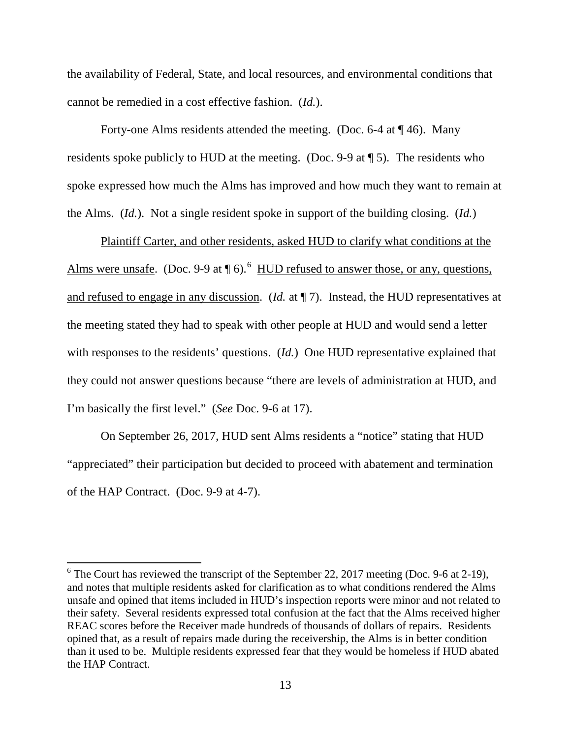the availability of Federal, State, and local resources, and environmental conditions that cannot be remedied in a cost effective fashion. (*Id.*).

Forty-one Alms residents attended the meeting. (Doc. 6-4 at  $\P$  46). Many residents spoke publicly to HUD at the meeting. (Doc. 9-9 at ¶ 5). The residents who spoke expressed how much the Alms has improved and how much they want to remain at the Alms. (*Id.*). Not a single resident spoke in support of the building closing. (*Id.*)

Plaintiff Carter, and other residents, asked HUD to clarify what conditions at the Alms were unsafe. (Doc. 9-9 at  $\P$  6).<sup>6</sup> HUD refused to answer those, or any, questions, and refused to engage in any discussion. (*Id.* at ¶ 7). Instead, the HUD representatives at the meeting stated they had to speak with other people at HUD and would send a letter with responses to the residents' questions. (*Id.*) One HUD representative explained that they could not answer questions because "there are levels of administration at HUD, and I'm basically the first level." (*See* Doc. 9-6 at 17).

On September 26, 2017, HUD sent Alms residents a "notice" stating that HUD "appreciated" their participation but decided to proceed with abatement and termination of the HAP Contract. (Doc. 9-9 at 4-7).

 $\overline{a}$ 

 $6$  The Court has reviewed the transcript of the September 22, 2017 meeting (Doc. 9-6 at 2-19), and notes that multiple residents asked for clarification as to what conditions rendered the Alms unsafe and opined that items included in HUD's inspection reports were minor and not related to their safety. Several residents expressed total confusion at the fact that the Alms received higher REAC scores before the Receiver made hundreds of thousands of dollars of repairs. Residents opined that, as a result of repairs made during the receivership, the Alms is in better condition than it used to be. Multiple residents expressed fear that they would be homeless if HUD abated the HAP Contract.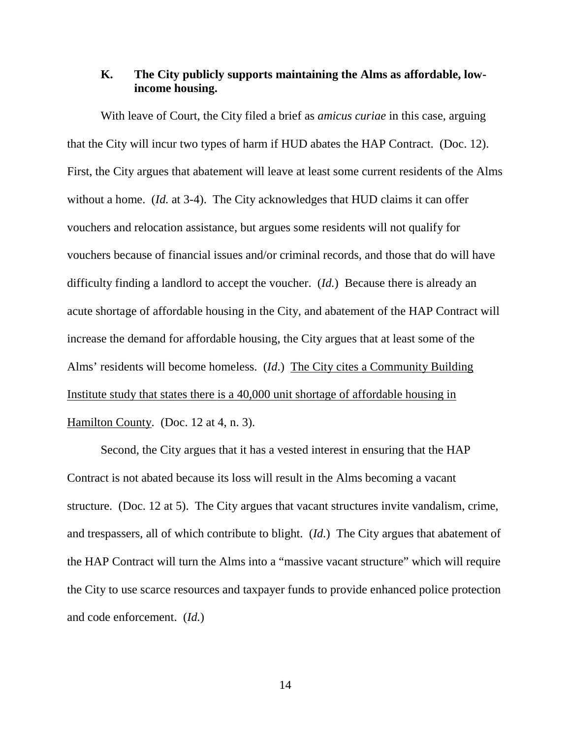# **K. The City publicly supports maintaining the Alms as affordable, lowincome housing.**

With leave of Court, the City filed a brief as *amicus curiae* in this case, arguing that the City will incur two types of harm if HUD abates the HAP Contract. (Doc. 12). First, the City argues that abatement will leave at least some current residents of the Alms without a home. (*Id.* at 3-4). The City acknowledges that HUD claims it can offer vouchers and relocation assistance, but argues some residents will not qualify for vouchers because of financial issues and/or criminal records, and those that do will have difficulty finding a landlord to accept the voucher. (*Id.*) Because there is already an acute shortage of affordable housing in the City, and abatement of the HAP Contract will increase the demand for affordable housing, the City argues that at least some of the Alms' residents will become homeless. (*Id*.) The City cites a Community Building Institute study that states there is a 40,000 unit shortage of affordable housing in Hamilton County. (Doc. 12 at 4, n. 3).

Second, the City argues that it has a vested interest in ensuring that the HAP Contract is not abated because its loss will result in the Alms becoming a vacant structure. (Doc. 12 at 5). The City argues that vacant structures invite vandalism, crime, and trespassers, all of which contribute to blight. (*Id.*) The City argues that abatement of the HAP Contract will turn the Alms into a "massive vacant structure" which will require the City to use scarce resources and taxpayer funds to provide enhanced police protection and code enforcement. (*Id.*)

14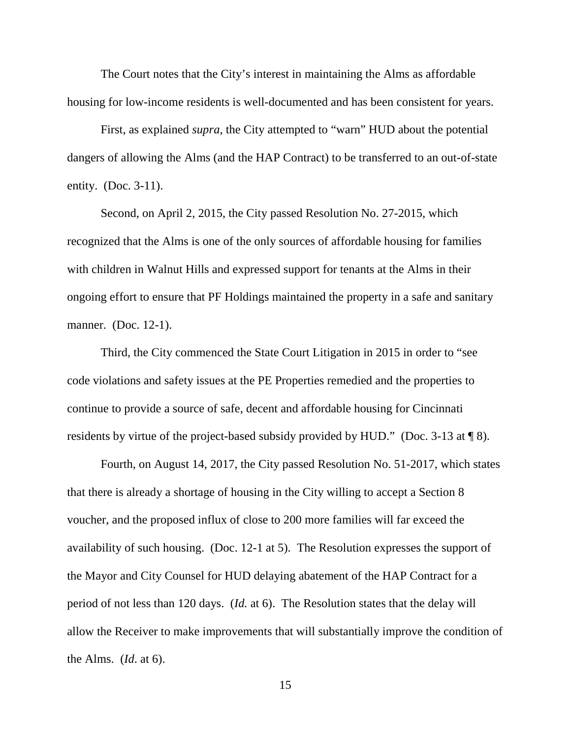The Court notes that the City's interest in maintaining the Alms as affordable housing for low-income residents is well-documented and has been consistent for years.

First, as explained *supra*, the City attempted to "warn" HUD about the potential dangers of allowing the Alms (and the HAP Contract) to be transferred to an out-of-state entity. (Doc. 3-11).

Second, on April 2, 2015, the City passed Resolution No. 27-2015, which recognized that the Alms is one of the only sources of affordable housing for families with children in Walnut Hills and expressed support for tenants at the Alms in their ongoing effort to ensure that PF Holdings maintained the property in a safe and sanitary manner. (Doc. 12-1).

Third, the City commenced the State Court Litigation in 2015 in order to "see code violations and safety issues at the PE Properties remedied and the properties to continue to provide a source of safe, decent and affordable housing for Cincinnati residents by virtue of the project-based subsidy provided by HUD." (Doc. 3-13 at ¶ 8).

Fourth, on August 14, 2017, the City passed Resolution No. 51-2017, which states that there is already a shortage of housing in the City willing to accept a Section 8 voucher, and the proposed influx of close to 200 more families will far exceed the availability of such housing. (Doc. 12-1 at 5). The Resolution expresses the support of the Mayor and City Counsel for HUD delaying abatement of the HAP Contract for a period of not less than 120 days. (*Id.* at 6). The Resolution states that the delay will allow the Receiver to make improvements that will substantially improve the condition of the Alms. (*Id*. at 6).

15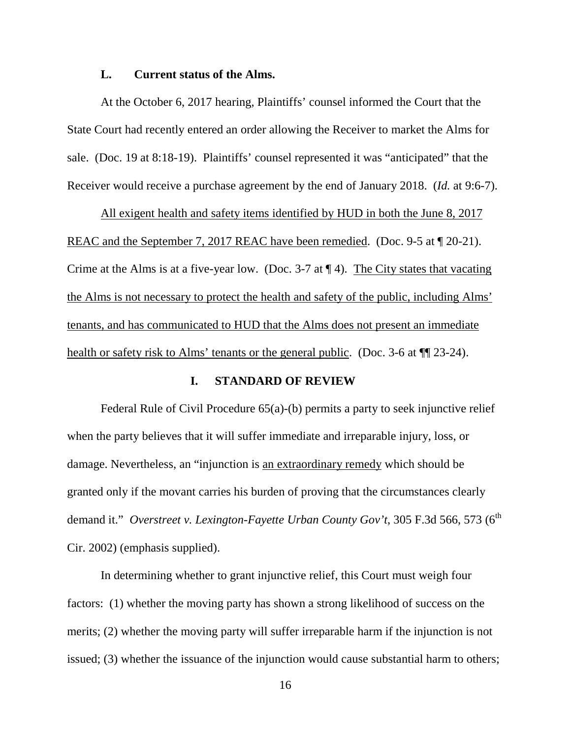## **L. Current status of the Alms.**

At the October 6, 2017 hearing, Plaintiffs' counsel informed the Court that the State Court had recently entered an order allowing the Receiver to market the Alms for sale. (Doc. 19 at 8:18-19). Plaintiffs' counsel represented it was "anticipated" that the Receiver would receive a purchase agreement by the end of January 2018. (*Id.* at 9:6-7).

All exigent health and safety items identified by HUD in both the June 8, 2017 REAC and the September 7, 2017 REAC have been remedied. (Doc. 9-5 at  $\P$  20-21). Crime at the Alms is at a five-year low. (Doc. 3-7 at ¶ 4). The City states that vacating the Alms is not necessary to protect the health and safety of the public, including Alms' tenants, and has communicated to HUD that the Alms does not present an immediate health or safety risk to Alms' tenants or the general public. (Doc. 3-6 at  $\P$  23-24).

# **I. STANDARD OF REVIEW**

Federal Rule of Civil Procedure 65(a)-(b) permits a party to seek injunctive relief when the party believes that it will suffer immediate and irreparable injury, loss, or damage. Nevertheless, an "injunction is an extraordinary remedy which should be granted only if the movant carries his burden of proving that the circumstances clearly demand it." Overstreet v. Lexington-Fayette Urban County Gov't, 305 F.3d 566, 573 (6<sup>th</sup> Cir. 2002) (emphasis supplied).

In determining whether to grant injunctive relief, this Court must weigh four factors: (1) whether the moving party has shown a strong likelihood of success on the merits; (2) whether the moving party will suffer irreparable harm if the injunction is not issued; (3) whether the issuance of the injunction would cause substantial harm to others;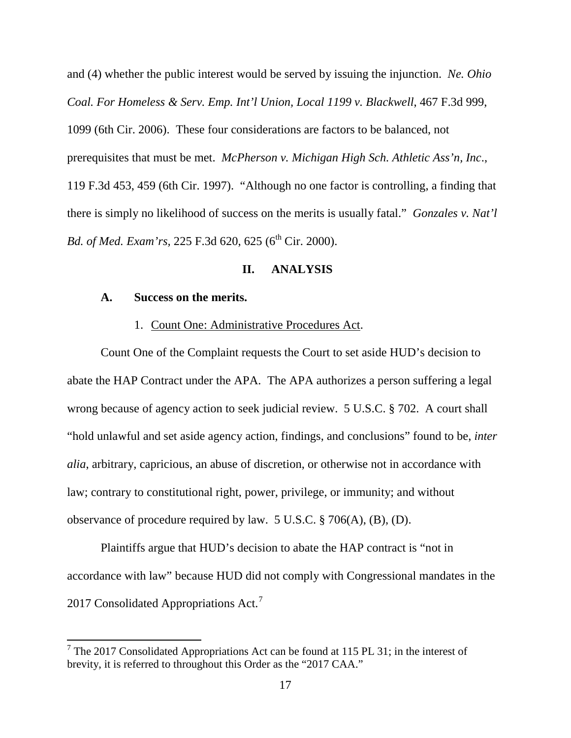and (4) whether the public interest would be served by issuing the injunction. *Ne. Ohio*  Coal. For Homeless & Serv. Emp. Int'l Union, Local 1199 v. Blackwell, 467 F.3d 999, 1099 (6th Cir. 2006). These four considerations are factors to be balanced, not prerequisites that must be met. *McPherson v. Michigan High Sch. Athletic Ass'n, Inc*., 119 F.3d 453, 459 (6th Cir. 1997). "Although no one factor is controlling, a finding that there is simply no likelihood of success on the merits is usually fatal." *Gonzales v. Nat'l Bd. of Med. Exam'rs,* 225 F.3d 620, 625 (6<sup>th</sup> Cir. 2000).

### **II. ANALYSIS**

#### **A. Success on the merits.**

 $\overline{a}$ 

#### 1. Count One: Administrative Procedures Act.

Count One of the Complaint requests the Court to set aside HUD's decision to abate the HAP Contract under the APA. The APA authorizes a person suffering a legal wrong because of agency action to seek judicial review. 5 U.S.C. § 702. A court shall "hold unlawful and set aside agency action, findings, and conclusions" found to be, *inter alia*, arbitrary, capricious, an abuse of discretion, or otherwise not in accordance with law; contrary to constitutional right, power, privilege, or immunity; and without observance of procedure required by law. 5 U.S.C. § 706(A), (B), (D).

Plaintiffs argue that HUD's decision to abate the HAP contract is "not in accordance with law" because HUD did not comply with Congressional mandates in the 2017 Consolidated Appropriations Act.<sup>7</sup>

 $7$  The 2017 Consolidated Appropriations Act can be found at 115 PL 31; in the interest of brevity, it is referred to throughout this Order as the "2017 CAA."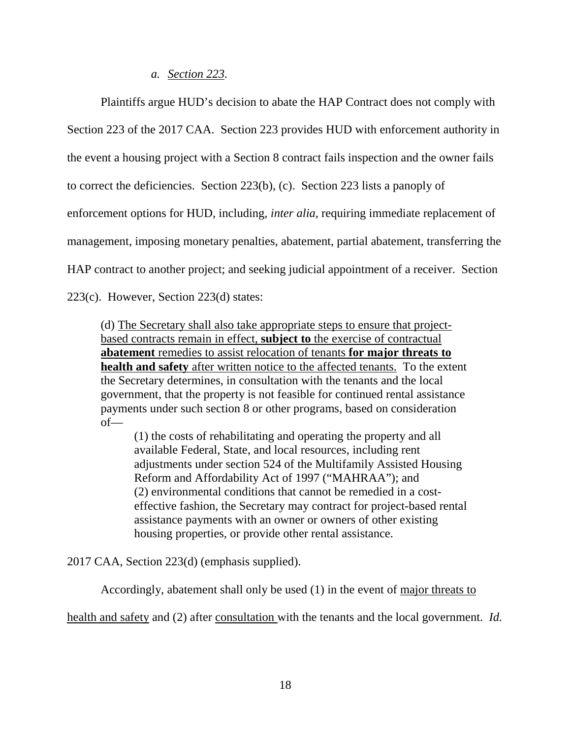## *a. Section 223.*

Plaintiffs argue HUD's decision to abate the HAP Contract does not comply with Section 223 of the 2017 CAA. Section 223 provides HUD with enforcement authority in the event a housing project with a Section 8 contract fails inspection and the owner fails to correct the deficiencies. Section 223(b), (c). Section 223 lists a panoply of enforcement options for HUD, including, *inter alia*, requiring immediate replacement of management, imposing monetary penalties, abatement, partial abatement, transferring the HAP contract to another project; and seeking judicial appointment of a receiver. Section

223(c). However, Section 223(d) states:

(d) The Secretary shall also take appropriate steps to ensure that projectbased contracts remain in effect, **subject to** the exercise of contractual **abatement** remedies to assist relocation of tenants **for major threats to health and safety** after written notice to the affected tenants. To the extent the Secretary determines, in consultation with the tenants and the local government, that the property is not feasible for continued rental assistance payments under such section 8 or other programs, based on consideration of—

(1) the costs of rehabilitating and operating the property and all available Federal, State, and local resources, including rent adjustments under section 524 of the Multifamily Assisted Housing Reform and Affordability Act of 1997 ("MAHRAA"); and (2) environmental conditions that cannot be remedied in a costeffective fashion, the Secretary may contract for project-based rental assistance payments with an owner or owners of other existing housing properties, or provide other rental assistance.

2017 CAA, Section 223(d) (emphasis supplied).

Accordingly, abatement shall only be used (1) in the event of major threats to

health and safety and (2) after consultation with the tenants and the local government. *Id.*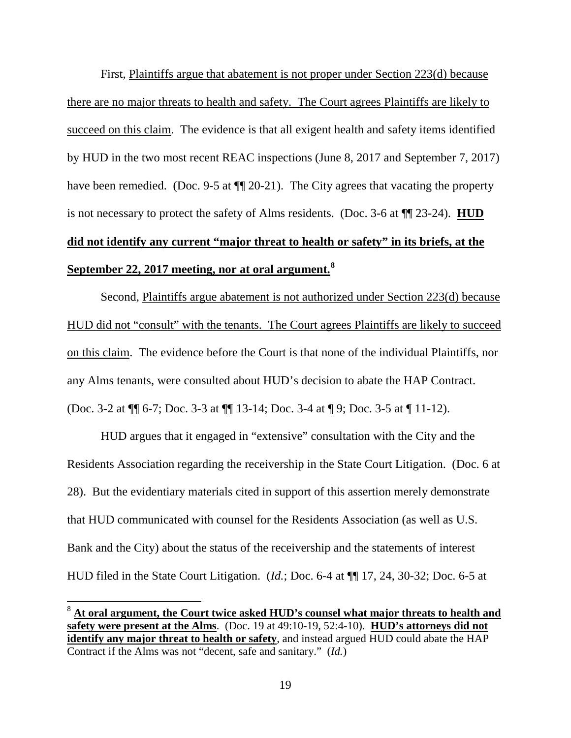First, Plaintiffs argue that abatement is not proper under Section 223(d) because there are no major threats to health and safety. The Court agrees Plaintiffs are likely to succeed on this claim. The evidence is that all exigent health and safety items identified by HUD in the two most recent REAC inspections (June 8, 2017 and September 7, 2017) have been remedied. (Doc. 9-5 at  $\P$  20-21). The City agrees that vacating the property is not necessary to protect the safety of Alms residents. (Doc. 3-6 at ¶¶ 23-24). **HUD did not identify any current "major threat to health or safety" in its briefs, at the September 22, 2017 meeting, nor at oral argument.<sup>8</sup>**

Second, Plaintiffs argue abatement is not authorized under Section 223(d) because HUD did not "consult" with the tenants. The Court agrees Plaintiffs are likely to succeed on this claim. The evidence before the Court is that none of the individual Plaintiffs, nor any Alms tenants, were consulted about HUD's decision to abate the HAP Contract. (Doc. 3-2 at ¶¶ 6-7; Doc. 3-3 at ¶¶ 13-14; Doc. 3-4 at ¶ 9; Doc. 3-5 at ¶ 11-12).

HUD argues that it engaged in "extensive" consultation with the City and the Residents Association regarding the receivership in the State Court Litigation. (Doc. 6 at 28). But the evidentiary materials cited in support of this assertion merely demonstrate that HUD communicated with counsel for the Residents Association (as well as U.S. Bank and the City) about the status of the receivership and the statements of interest HUD filed in the State Court Litigation. (*Id.*; Doc. 6-4 at ¶¶ 17, 24, 30-32; Doc. 6-5 at

 $\overline{a}$ 

<sup>8</sup> **At oral argument, the Court twice asked HUD's counsel what major threats to health and safety were present at the Alms**. (Doc. 19 at 49:10-19, 52:4-10). **HUD's attorneys did not identify any major threat to health or safety**, and instead argued HUD could abate the HAP Contract if the Alms was not "decent, safe and sanitary." (*Id.*)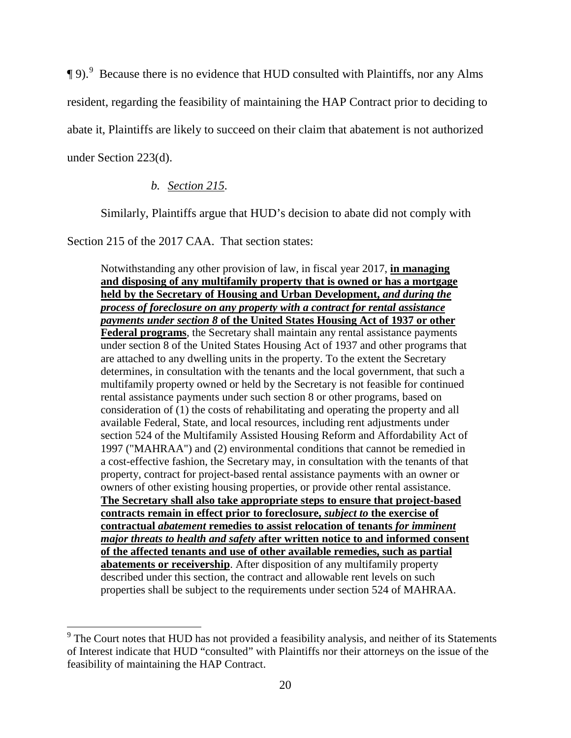$\P$ 9). Because there is no evidence that HUD consulted with Plaintiffs, nor any Alms resident, regarding the feasibility of maintaining the HAP Contract prior to deciding to abate it, Plaintiffs are likely to succeed on their claim that abatement is not authorized under Section 223(d).

# *b. Section 215.*

Similarly, Plaintiffs argue that HUD's decision to abate did not comply with

Section 215 of the 2017 CAA. That section states:

 $\overline{a}$ 

Notwithstanding any other provision of law, in fiscal year 2017, **in managing and disposing of any multifamily property that is owned or has a mortgage held by the Secretary of Housing and Urban Development,** *and during the process of foreclosure on any property with a contract for rental assistance payments under section 8* **of the United States Housing Act of 1937 or other Federal programs**, the Secretary shall maintain any rental assistance payments under section 8 of the United States Housing Act of 1937 and other programs that are attached to any dwelling units in the property. To the extent the Secretary determines, in consultation with the tenants and the local government, that such a multifamily property owned or held by the Secretary is not feasible for continued rental assistance payments under such section 8 or other programs, based on consideration of (1) the costs of rehabilitating and operating the property and all available Federal, State, and local resources, including rent adjustments under section 524 of the Multifamily Assisted Housing Reform and Affordability Act of 1997 ("MAHRAA") and (2) environmental conditions that cannot be remedied in a cost-effective fashion, the Secretary may, in consultation with the tenants of that property, contract for project-based rental assistance payments with an owner or owners of other existing housing properties, or provide other rental assistance. **The Secretary shall also take appropriate steps to ensure that project-based contracts remain in effect prior to foreclosure,** *subject to* **the exercise of contractual** *abatement* **remedies to assist relocation of tenants** *for imminent major threats to health and safety* **after written notice to and informed consent of the affected tenants and use of other available remedies, such as partial abatements or receivership**. After disposition of any multifamily property described under this section, the contract and allowable rent levels on such properties shall be subject to the requirements under section 524 of MAHRAA.

<sup>&</sup>lt;sup>9</sup> The Court notes that HUD has not provided a feasibility analysis, and neither of its Statements of Interest indicate that HUD "consulted" with Plaintiffs nor their attorneys on the issue of the feasibility of maintaining the HAP Contract.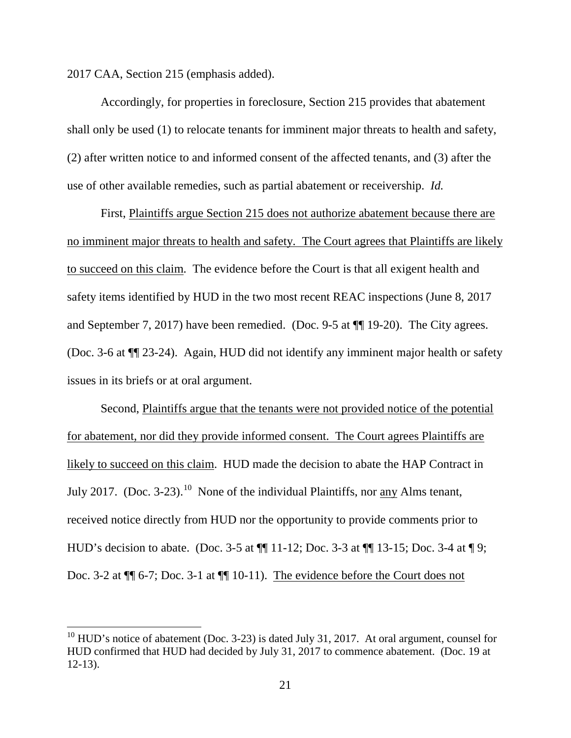2017 CAA, Section 215 (emphasis added).

 $\overline{a}$ 

 Accordingly, for properties in foreclosure, Section 215 provides that abatement shall only be used (1) to relocate tenants for imminent major threats to health and safety, (2) after written notice to and informed consent of the affected tenants, and (3) after the use of other available remedies, such as partial abatement or receivership. *Id.*

 First, Plaintiffs argue Section 215 does not authorize abatement because there are no imminent major threats to health and safety. The Court agrees that Plaintiffs are likely to succeed on this claim. The evidence before the Court is that all exigent health and safety items identified by HUD in the two most recent REAC inspections (June 8, 2017 and September 7, 2017) have been remedied. (Doc. 9-5 at ¶¶ 19-20). The City agrees. (Doc. 3-6 at ¶¶ 23-24). Again, HUD did not identify any imminent major health or safety issues in its briefs or at oral argument.

 Second, Plaintiffs argue that the tenants were not provided notice of the potential for abatement, nor did they provide informed consent. The Court agrees Plaintiffs are likely to succeed on this claim. HUD made the decision to abate the HAP Contract in July 2017. (Doc. 3-23).<sup>10</sup> None of the individual Plaintiffs, nor any Alms tenant, received notice directly from HUD nor the opportunity to provide comments prior to HUD's decision to abate. (Doc. 3-5 at ¶¶ 11-12; Doc. 3-3 at ¶¶ 13-15; Doc. 3-4 at ¶ 9; Doc. 3-2 at  $\P$  6-7; Doc. 3-1 at  $\P$  10-11). The evidence before the Court does not

 $10$  HUD's notice of abatement (Doc. 3-23) is dated July 31, 2017. At oral argument, counsel for HUD confirmed that HUD had decided by July 31, 2017 to commence abatement. (Doc. 19 at 12-13).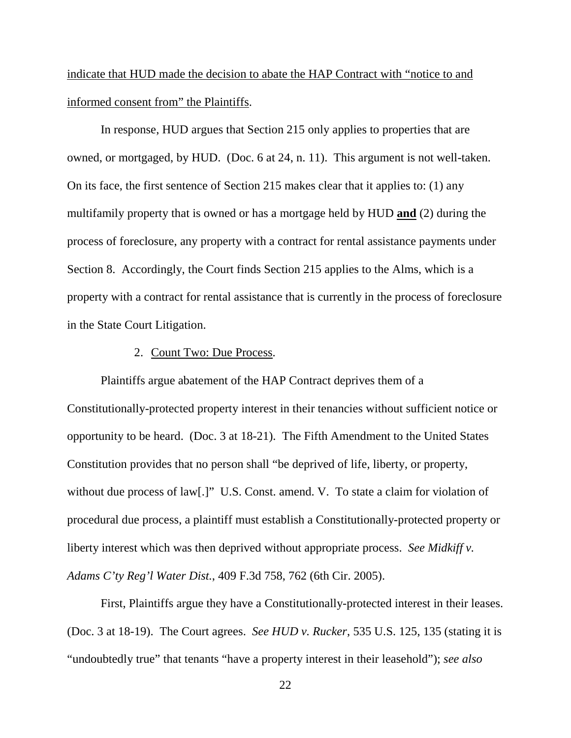indicate that HUD made the decision to abate the HAP Contract with "notice to and informed consent from" the Plaintiffs.

In response, HUD argues that Section 215 only applies to properties that are owned, or mortgaged, by HUD. (Doc. 6 at 24, n. 11). This argument is not well-taken. On its face, the first sentence of Section 215 makes clear that it applies to: (1) any multifamily property that is owned or has a mortgage held by HUD **and** (2) during the process of foreclosure, any property with a contract for rental assistance payments under Section 8. Accordingly, the Court finds Section 215 applies to the Alms, which is a property with a contract for rental assistance that is currently in the process of foreclosure in the State Court Litigation.

#### 2. Count Two: Due Process.

 Plaintiffs argue abatement of the HAP Contract deprives them of a Constitutionally-protected property interest in their tenancies without sufficient notice or opportunity to be heard. (Doc. 3 at 18-21). The Fifth Amendment to the United States Constitution provides that no person shall "be deprived of life, liberty, or property, without due process of law[.]" U.S. Const. amend. V. To state a claim for violation of procedural due process, a plaintiff must establish a Constitutionally-protected property or liberty interest which was then deprived without appropriate process. *See Midkiff v. Adams C'ty Reg'l Water Dist.*, 409 F.3d 758, 762 (6th Cir. 2005).

 First, Plaintiffs argue they have a Constitutionally-protected interest in their leases. (Doc. 3 at 18-19). The Court agrees. *See HUD v. Rucker*, 535 U.S. 125, 135 (stating it is "undoubtedly true" that tenants "have a property interest in their leasehold"); *see also*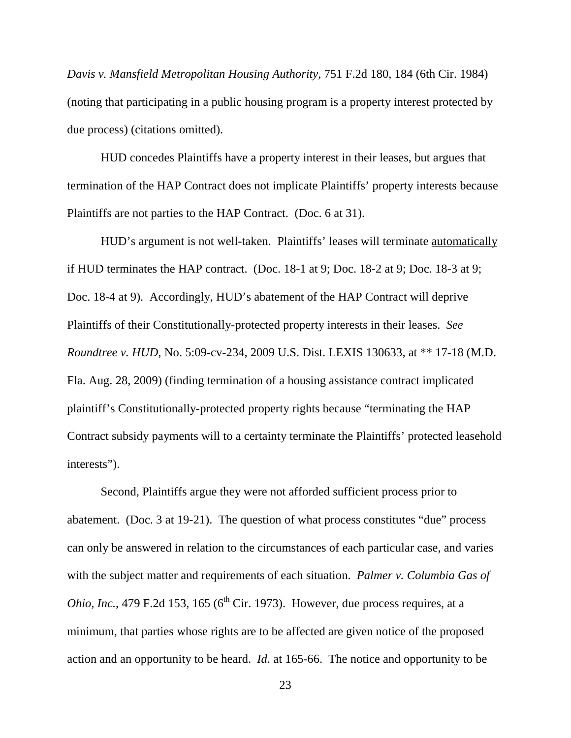*Davis v. Mansfield Metropolitan Housing Authority*, 751 F.2d 180, 184 (6th Cir. 1984) (noting that participating in a public housing program is a property interest protected by due process) (citations omitted).

 HUD concedes Plaintiffs have a property interest in their leases, but argues that termination of the HAP Contract does not implicate Plaintiffs' property interests because Plaintiffs are not parties to the HAP Contract. (Doc. 6 at 31).

 HUD's argument is not well-taken. Plaintiffs' leases will terminate automatically if HUD terminates the HAP contract. (Doc. 18-1 at 9; Doc. 18-2 at 9; Doc. 18-3 at 9; Doc. 18-4 at 9). Accordingly, HUD's abatement of the HAP Contract will deprive Plaintiffs of their Constitutionally-protected property interests in their leases. *See Roundtree v. HUD*, No. 5:09-cv-234, 2009 U.S. Dist. LEXIS 130633, at \*\* 17-18 (M.D. Fla. Aug. 28, 2009) (finding termination of a housing assistance contract implicated plaintiff's Constitutionally-protected property rights because "terminating the HAP Contract subsidy payments will to a certainty terminate the Plaintiffs' protected leasehold interests").

 Second, Plaintiffs argue they were not afforded sufficient process prior to abatement. (Doc. 3 at 19-21). The question of what process constitutes "due" process can only be answered in relation to the circumstances of each particular case, and varies with the subject matter and requirements of each situation. *Palmer v. Columbia Gas of Ohio, Inc.*, 479 F.2d 153, 165 ( $6<sup>th</sup>$  Cir. 1973). However, due process requires, at a minimum, that parties whose rights are to be affected are given notice of the proposed action and an opportunity to be heard. *Id*. at 165-66. The notice and opportunity to be

23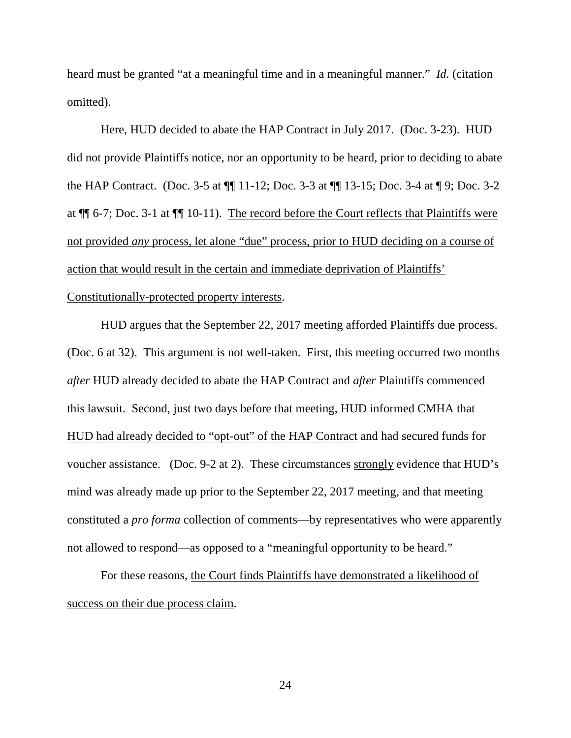heard must be granted "at a meaningful time and in a meaningful manner." *Id.* (citation omitted).

 Here, HUD decided to abate the HAP Contract in July 2017. (Doc. 3-23). HUD did not provide Plaintiffs notice, nor an opportunity to be heard, prior to deciding to abate the HAP Contract. (Doc. 3-5 at ¶¶ 11-12; Doc. 3-3 at ¶¶ 13-15; Doc. 3-4 at ¶ 9; Doc. 3-2 at ¶¶ 6-7; Doc. 3-1 at ¶¶ 10-11). The record before the Court reflects that Plaintiffs were not provided *any* process, let alone "due" process, prior to HUD deciding on a course of action that would result in the certain and immediate deprivation of Plaintiffs'

## Constitutionally-protected property interests.

 HUD argues that the September 22, 2017 meeting afforded Plaintiffs due process. (Doc. 6 at 32). This argument is not well-taken. First, this meeting occurred two months *after* HUD already decided to abate the HAP Contract and *after* Plaintiffs commenced this lawsuit. Second, just two days before that meeting, HUD informed CMHA that HUD had already decided to "opt-out" of the HAP Contract and had secured funds for voucher assistance. (Doc. 9-2 at 2). These circumstances strongly evidence that HUD's mind was already made up prior to the September 22, 2017 meeting, and that meeting constituted a *pro forma* collection of comments—by representatives who were apparently not allowed to respond—as opposed to a "meaningful opportunity to be heard."

 For these reasons, the Court finds Plaintiffs have demonstrated a likelihood of success on their due process claim.

24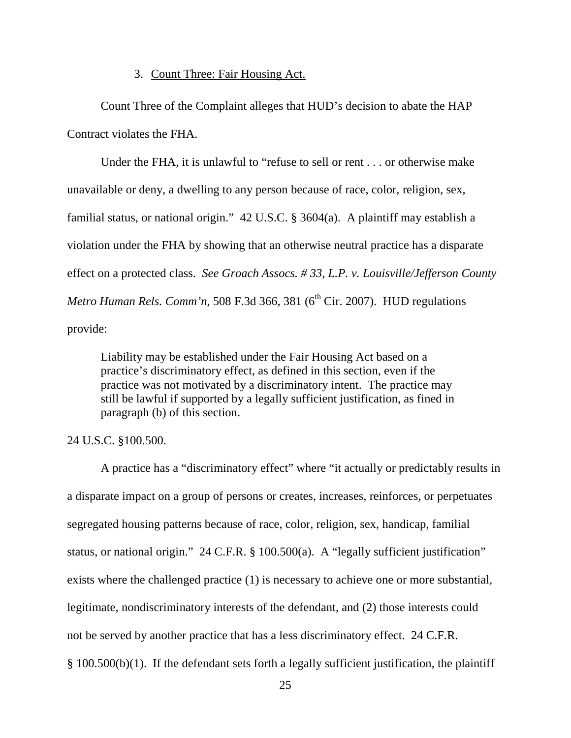### 3. Count Three: Fair Housing Act.

Count Three of the Complaint alleges that HUD's decision to abate the HAP Contract violates the FHA.

Under the FHA, it is unlawful to "refuse to sell or rent . . . or otherwise make unavailable or deny, a dwelling to any person because of race, color, religion, sex, familial status, or national origin." 42 U.S.C. § 3604(a). A plaintiff may establish a violation under the FHA by showing that an otherwise neutral practice has a disparate effect on a protected class. *See Groach Assocs. # 33, L.P. v. Louisville/Jefferson County Metro Human Rels. Comm'n,* 508 F.3d 366, 381 ( $6<sup>th</sup> Cir. 2007$ ). HUD regulations provide:

Liability may be established under the Fair Housing Act based on a practice's discriminatory effect, as defined in this section, even if the practice was not motivated by a discriminatory intent. The practice may still be lawful if supported by a legally sufficient justification, as fined in paragraph (b) of this section.

#### 24 U.S.C. §100.500.

A practice has a "discriminatory effect" where "it actually or predictably results in a disparate impact on a group of persons or creates, increases, reinforces, or perpetuates segregated housing patterns because of race, color, religion, sex, handicap, familial status, or national origin." 24 C.F.R. § 100.500(a). A "legally sufficient justification" exists where the challenged practice (1) is necessary to achieve one or more substantial, legitimate, nondiscriminatory interests of the defendant, and (2) those interests could not be served by another practice that has a less discriminatory effect. 24 C.F.R. § 100.500(b)(1). If the defendant sets forth a legally sufficient justification, the plaintiff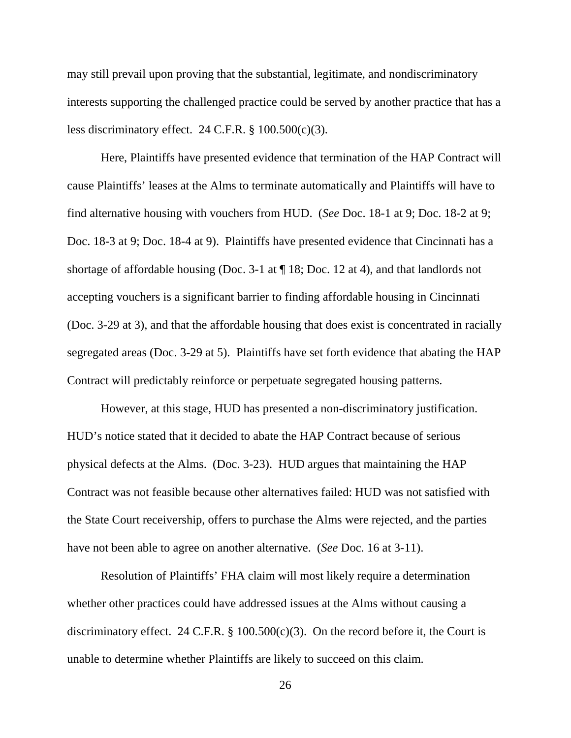may still prevail upon proving that the substantial, legitimate, and nondiscriminatory interests supporting the challenged practice could be served by another practice that has a less discriminatory effect. 24 C.F.R. § 100.500(c)(3).

Here, Plaintiffs have presented evidence that termination of the HAP Contract will cause Plaintiffs' leases at the Alms to terminate automatically and Plaintiffs will have to find alternative housing with vouchers from HUD. (*See* Doc. 18-1 at 9; Doc. 18-2 at 9; Doc. 18-3 at 9; Doc. 18-4 at 9). Plaintiffs have presented evidence that Cincinnati has a shortage of affordable housing (Doc. 3-1 at  $\P$  18; Doc. 12 at 4), and that landlords not accepting vouchers is a significant barrier to finding affordable housing in Cincinnati (Doc. 3-29 at 3), and that the affordable housing that does exist is concentrated in racially segregated areas (Doc. 3-29 at 5). Plaintiffs have set forth evidence that abating the HAP Contract will predictably reinforce or perpetuate segregated housing patterns.

However, at this stage, HUD has presented a non-discriminatory justification. HUD's notice stated that it decided to abate the HAP Contract because of serious physical defects at the Alms. (Doc. 3-23). HUD argues that maintaining the HAP Contract was not feasible because other alternatives failed: HUD was not satisfied with the State Court receivership, offers to purchase the Alms were rejected, and the parties have not been able to agree on another alternative. (*See* Doc. 16 at 3-11).

 Resolution of Plaintiffs' FHA claim will most likely require a determination whether other practices could have addressed issues at the Alms without causing a discriminatory effect. 24 C.F.R.  $\S$  100.500(c)(3). On the record before it, the Court is unable to determine whether Plaintiffs are likely to succeed on this claim.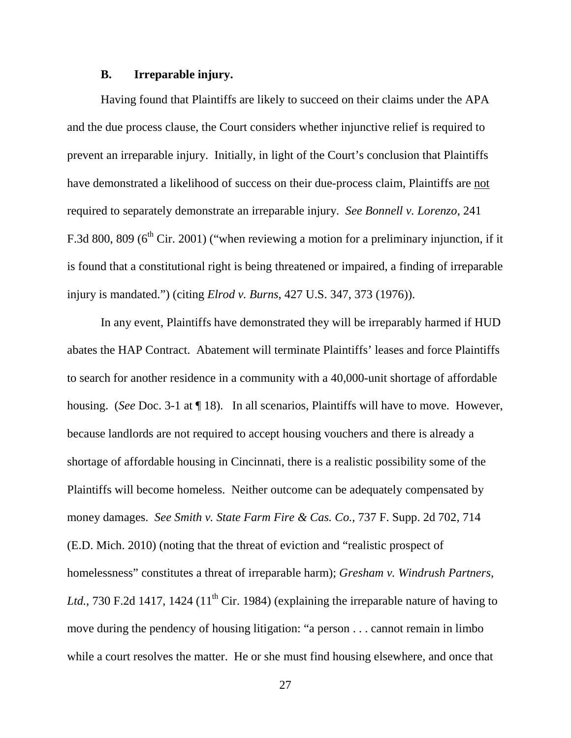## **B. Irreparable injury.**

Having found that Plaintiffs are likely to succeed on their claims under the APA and the due process clause, the Court considers whether injunctive relief is required to prevent an irreparable injury. Initially, in light of the Court's conclusion that Plaintiffs have demonstrated a likelihood of success on their due-process claim, Plaintiffs are not required to separately demonstrate an irreparable injury. *See Bonnell v. Lorenzo*, 241 F.3d 800, 809 ( $6<sup>th</sup>$  Cir. 2001) ("when reviewing a motion for a preliminary injunction, if it is found that a constitutional right is being threatened or impaired, a finding of irreparable injury is mandated.") (citing *Elrod v. Burns*, 427 U.S. 347, 373 (1976)).

In any event, Plaintiffs have demonstrated they will be irreparably harmed if HUD abates the HAP Contract. Abatement will terminate Plaintiffs' leases and force Plaintiffs to search for another residence in a community with a 40,000-unit shortage of affordable housing. (*See* Doc. 3-1 at ¶ 18). In all scenarios, Plaintiffs will have to move. However, because landlords are not required to accept housing vouchers and there is already a shortage of affordable housing in Cincinnati, there is a realistic possibility some of the Plaintiffs will become homeless. Neither outcome can be adequately compensated by money damages. *See Smith v. State Farm Fire & Cas. Co.*, 737 F. Supp. 2d 702, 714 (E.D. Mich. 2010) (noting that the threat of eviction and "realistic prospect of homelessness" constitutes a threat of irreparable harm); *Gresham v. Windrush Partners, Ltd.*, 730 F.2d 1417, 1424 (11<sup>th</sup> Cir. 1984) (explaining the irreparable nature of having to move during the pendency of housing litigation: "a person . . . cannot remain in limbo while a court resolves the matter. He or she must find housing elsewhere, and once that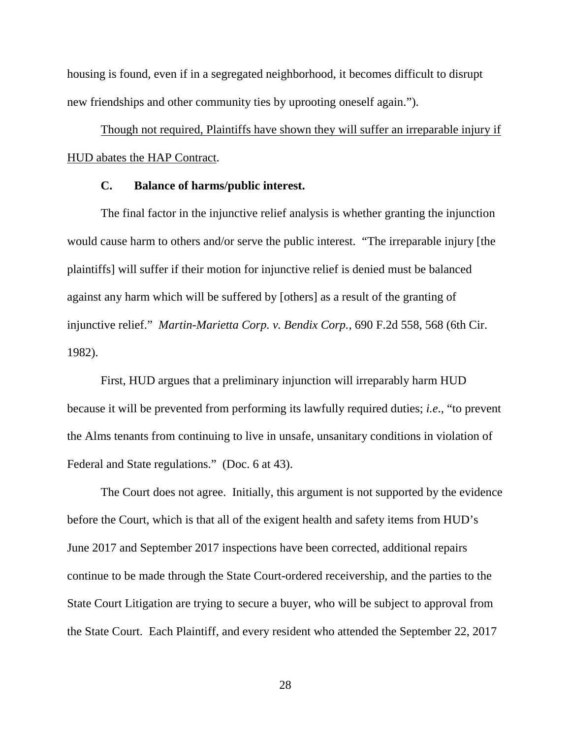housing is found, even if in a segregated neighborhood, it becomes difficult to disrupt new friendships and other community ties by uprooting oneself again.").

Though not required, Plaintiffs have shown they will suffer an irreparable injury if HUD abates the HAP Contract.

# **C. Balance of harms/public interest.**

The final factor in the injunctive relief analysis is whether granting the injunction would cause harm to others and/or serve the public interest. "The irreparable injury [the plaintiffs] will suffer if their motion for injunctive relief is denied must be balanced against any harm which will be suffered by [others] as a result of the granting of injunctive relief." *Martin-Marietta Corp. v. Bendix Corp.*, 690 F.2d 558, 568 (6th Cir. 1982).

First, HUD argues that a preliminary injunction will irreparably harm HUD because it will be prevented from performing its lawfully required duties; *i.e*., "to prevent the Alms tenants from continuing to live in unsafe, unsanitary conditions in violation of Federal and State regulations." (Doc. 6 at 43).

The Court does not agree. Initially, this argument is not supported by the evidence before the Court, which is that all of the exigent health and safety items from HUD's June 2017 and September 2017 inspections have been corrected, additional repairs continue to be made through the State Court-ordered receivership, and the parties to the State Court Litigation are trying to secure a buyer, who will be subject to approval from the State Court. Each Plaintiff, and every resident who attended the September 22, 2017

28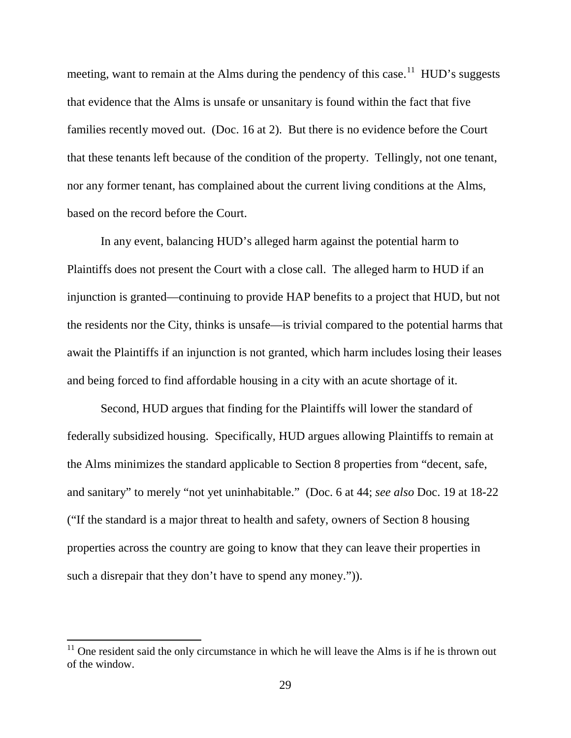meeting, want to remain at the Alms during the pendency of this case.<sup>11</sup> HUD's suggests that evidence that the Alms is unsafe or unsanitary is found within the fact that five families recently moved out. (Doc. 16 at 2). But there is no evidence before the Court that these tenants left because of the condition of the property. Tellingly, not one tenant, nor any former tenant, has complained about the current living conditions at the Alms, based on the record before the Court.

 In any event, balancing HUD's alleged harm against the potential harm to Plaintiffs does not present the Court with a close call. The alleged harm to HUD if an injunction is granted—continuing to provide HAP benefits to a project that HUD, but not the residents nor the City, thinks is unsafe—is trivial compared to the potential harms that await the Plaintiffs if an injunction is not granted, which harm includes losing their leases and being forced to find affordable housing in a city with an acute shortage of it.

 Second, HUD argues that finding for the Plaintiffs will lower the standard of federally subsidized housing. Specifically, HUD argues allowing Plaintiffs to remain at the Alms minimizes the standard applicable to Section 8 properties from "decent, safe, and sanitary" to merely "not yet uninhabitable." (Doc. 6 at 44; *see also* Doc. 19 at 18-22 ("If the standard is a major threat to health and safety, owners of Section 8 housing properties across the country are going to know that they can leave their properties in such a disrepair that they don't have to spend any money.").

 $\overline{a}$ 

 $11$  One resident said the only circumstance in which he will leave the Alms is if he is thrown out of the window.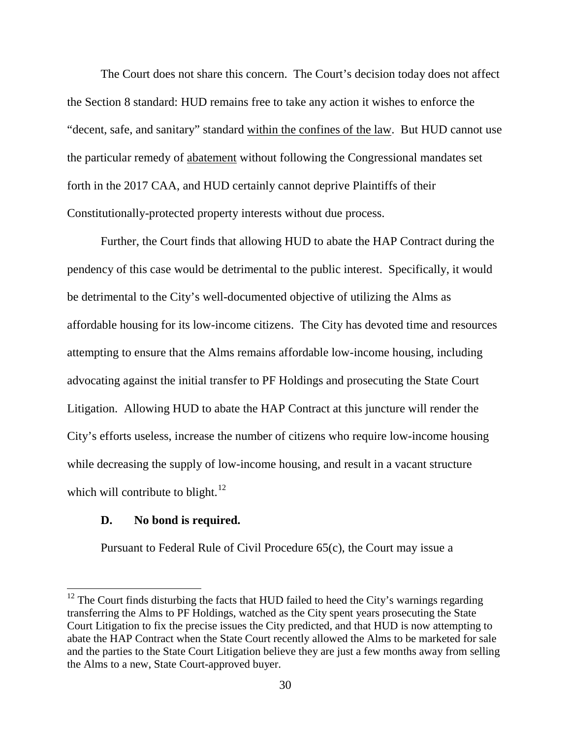The Court does not share this concern. The Court's decision today does not affect the Section 8 standard: HUD remains free to take any action it wishes to enforce the "decent, safe, and sanitary" standard within the confines of the law. But HUD cannot use the particular remedy of abatement without following the Congressional mandates set forth in the 2017 CAA, and HUD certainly cannot deprive Plaintiffs of their Constitutionally-protected property interests without due process.

 Further, the Court finds that allowing HUD to abate the HAP Contract during the pendency of this case would be detrimental to the public interest. Specifically, it would be detrimental to the City's well-documented objective of utilizing the Alms as affordable housing for its low-income citizens. The City has devoted time and resources attempting to ensure that the Alms remains affordable low-income housing, including advocating against the initial transfer to PF Holdings and prosecuting the State Court Litigation. Allowing HUD to abate the HAP Contract at this juncture will render the City's efforts useless, increase the number of citizens who require low-income housing while decreasing the supply of low-income housing, and result in a vacant structure which will contribute to blight. $12$ 

## **D. No bond is required.**

 $\overline{a}$ 

Pursuant to Federal Rule of Civil Procedure 65(c), the Court may issue a

 $12$  The Court finds disturbing the facts that HUD failed to heed the City's warnings regarding transferring the Alms to PF Holdings, watched as the City spent years prosecuting the State Court Litigation to fix the precise issues the City predicted, and that HUD is now attempting to abate the HAP Contract when the State Court recently allowed the Alms to be marketed for sale and the parties to the State Court Litigation believe they are just a few months away from selling the Alms to a new, State Court-approved buyer.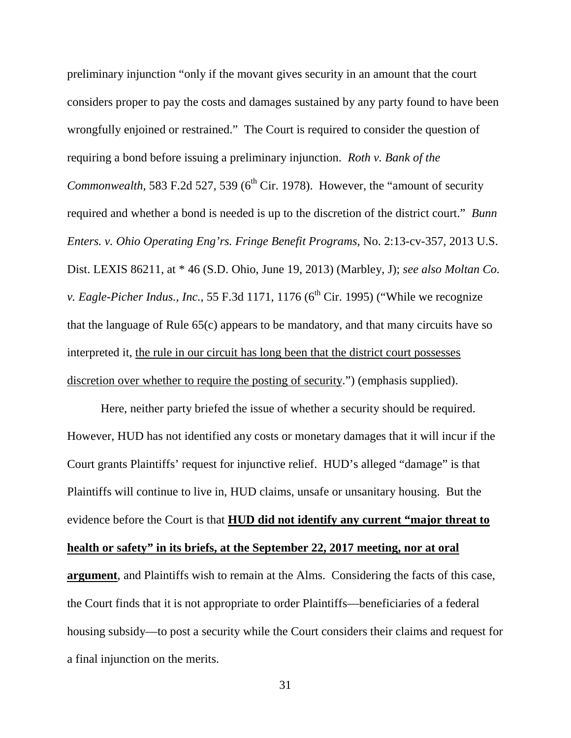preliminary injunction "only if the movant gives security in an amount that the court considers proper to pay the costs and damages sustained by any party found to have been wrongfully enjoined or restrained." The Court is required to consider the question of requiring a bond before issuing a preliminary injunction. *Roth v. Bank of the Commonwealth*, 583 F.2d 527, 539 ( $6<sup>th</sup>$  Cir. 1978). However, the "amount of security required and whether a bond is needed is up to the discretion of the district court." *Bunn Enters. v. Ohio Operating Eng'rs. Fringe Benefit Programs*, No. 2:13-cv-357, 2013 U.S. Dist. LEXIS 86211, at \* 46 (S.D. Ohio, June 19, 2013) (Marbley, J); *see also Moltan Co. v. Eagle-Picher Indus., Inc.*, 55 F.3d 1171, 1176 ( $6<sup>th</sup> Cir.$  1995) ("While we recognize that the language of Rule 65(c) appears to be mandatory, and that many circuits have so interpreted it, the rule in our circuit has long been that the district court possesses discretion over whether to require the posting of security.") (emphasis supplied).

Here, neither party briefed the issue of whether a security should be required. However, HUD has not identified any costs or monetary damages that it will incur if the Court grants Plaintiffs' request for injunctive relief. HUD's alleged "damage" is that Plaintiffs will continue to live in, HUD claims, unsafe or unsanitary housing. But the evidence before the Court is that **HUD did not identify any current "major threat to health or safety" in its briefs, at the September 22, 2017 meeting, nor at oral argument**, and Plaintiffs wish to remain at the Alms. Considering the facts of this case, the Court finds that it is not appropriate to order Plaintiffs—beneficiaries of a federal housing subsidy—to post a security while the Court considers their claims and request for a final injunction on the merits.